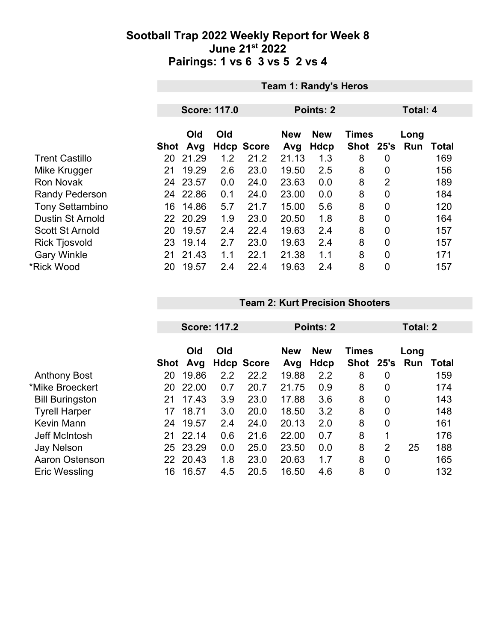|                         | <b>Team 1: Randy's Heros</b> |                     |     |                   |                   |                    |                           |                 |             |       |
|-------------------------|------------------------------|---------------------|-----|-------------------|-------------------|--------------------|---------------------------|-----------------|-------------|-------|
|                         |                              |                     |     |                   |                   |                    |                           |                 |             |       |
|                         |                              | <b>Score: 117.0</b> |     |                   |                   | Points: 2          |                           | <b>Total: 4</b> |             |       |
|                         | Shot                         | Old<br>Avg          | Old | <b>Hdcp Score</b> | <b>New</b><br>Avg | <b>New</b><br>Hdcp | <b>Times</b><br>Shot 25's |                 | Long<br>Run | Total |
| <b>Trent Castillo</b>   | 20                           | 21.29               | 1.2 | 21.2              | 21.13             | 1.3                | 8                         | 0               |             | 169   |
| Mike Krugger            | 21                           | 19.29               | 2.6 | 23.0              | 19.50             | 2.5                | 8                         | $\overline{0}$  |             | 156   |
| <b>Ron Novak</b>        |                              | 24 23.57            | 0.0 | 24.0              | 23.63             | 0.0                | 8                         | $\overline{2}$  |             | 189   |
| <b>Randy Pederson</b>   | 24                           | 22.86               | 0.1 | 24.0              | 23.00             | 0.0                | 8                         | 0               |             | 184   |
| <b>Tony Settambino</b>  | 16                           | 14.86               | 5.7 | 21.7              | 15.00             | 5.6                | 8                         | $\overline{0}$  |             | 120   |
| <b>Dustin St Arnold</b> |                              | 22 20.29            | 1.9 | 23.0              | 20.50             | 1.8                | 8                         | 0               |             | 164   |
| <b>Scott St Arnold</b>  | 20                           | 19.57               | 2.4 | 22.4              | 19.63             | 2.4                | 8                         | $\overline{0}$  |             | 157   |
| <b>Rick Tjosvold</b>    | 23                           | 19.14               | 2.7 | 23.0              | 19.63             | 2.4                | 8                         | $\overline{0}$  |             | 157   |
| <b>Gary Winkle</b>      | 21                           | 21.43               | 1.1 | 22.1              | 21.38             | 1.1                | 8                         | 0               |             | 171   |
| *Rick Wood              | 20                           | 19.57               | 2.4 | 22.4              | 19.63             | 2.4                | 8                         | $\mathbf 0$     |             | 157   |

#### **Team 2: Kurt Precision Shooters**

|                        | <b>Score: 117.2</b> |                 |     | Points: 2         |                   | <b>Total: 2</b>    |                               |                |      |       |
|------------------------|---------------------|-----------------|-----|-------------------|-------------------|--------------------|-------------------------------|----------------|------|-------|
|                        |                     | Old<br>Shot Avg | Old | <b>Hdcp Score</b> | <b>New</b><br>Avg | <b>New</b><br>Hdcp | <b>Times</b><br>Shot 25's Run |                | Long | Total |
| <b>Anthony Bost</b>    | 20                  | 19.86           | 2.2 | 22.2              | 19.88             | 2.2                | 8                             | 0              |      | 159   |
| *Mike Broeckert        | 20                  | 22.00           | 0.7 | 20.7              | 21.75             | 0.9                | 8                             | 0              |      | 174   |
| <b>Bill Buringston</b> | 21                  | 17.43           | 3.9 | 23.0              | 17.88             | 3.6                | 8                             | $\mathbf 0$    |      | 143   |
| <b>Tyrell Harper</b>   | 17                  | 18.71           | 3.0 | 20.0              | 18.50             | 3.2                | 8                             | $\overline{0}$ |      | 148   |
| <b>Kevin Mann</b>      | 24                  | 19.57           | 2.4 | 24.0              | 20.13             | 2.0                | 8                             | $\overline{0}$ |      | 161   |
| Jeff McIntosh          | 21                  | 22.14           | 0.6 | 21.6              | 22.00             | 0.7                | 8                             | 1              |      | 176   |
| Jay Nelson             | 25                  | 23.29           | 0.0 | 25.0              | 23.50             | 0.0                | 8                             | 2              | 25   | 188   |
| Aaron Ostenson         |                     | 22 20.43        | 1.8 | 23.0              | 20.63             | 1.7                | 8                             | $\mathbf 0$    |      | 165   |
| <b>Eric Wessling</b>   | 16                  | 16.57           | 4.5 | 20.5              | 16.50             | 4.6                | 8                             | $\mathbf 0$    |      | 132   |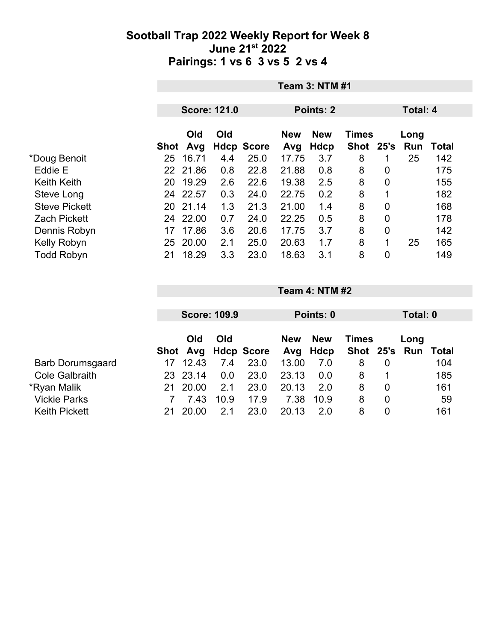|                      |          | <b>Team 3: NTM #1</b> |                     |                   |                   |                    |                             |                |                  |              |  |
|----------------------|----------|-----------------------|---------------------|-------------------|-------------------|--------------------|-----------------------------|----------------|------------------|--------------|--|
|                      |          |                       | <b>Score: 121.0</b> |                   | Points: 2         |                    |                             |                | <b>Total: 4</b>  |              |  |
|                      | Shot Avg | <b>Old</b>            | Old                 | <b>Hdcp Score</b> | <b>New</b><br>Avg | <b>New</b><br>Hdcp | <b>Times</b><br><b>Shot</b> |                | Long<br>25's Run | <b>Total</b> |  |
| *Doug Benoit         | 25       | 16.71                 | 4.4                 | 25.0              | 17.75             | 3.7                | 8                           | 1              | 25               | 142          |  |
| Eddie E              | 22 21.86 |                       | 0.8                 | 22.8              | 21.88             | 0.8                | 8                           | 0              |                  | 175          |  |
| <b>Keith Keith</b>   | 20       | 19.29                 | 2.6                 | 22.6              | 19.38             | 2.5                | 8                           | 0              |                  | 155          |  |
| Steve Long           | 24 22.57 |                       | 0.3                 | 24.0              | 22.75             | 0.2                | 8                           | 1              |                  | 182          |  |
| <b>Steve Pickett</b> | 20       | 21.14                 | 1.3                 | 21.3              | 21.00             | 1.4                | 8                           | $\mathbf 0$    |                  | 168          |  |
| <b>Zach Pickett</b>  | 24       | 22.00                 | 0.7                 | 24.0              | 22.25             | 0.5                | 8                           | $\overline{0}$ |                  | 178          |  |
| Dennis Robyn         | 17       | 17.86                 | 3.6                 | 20.6              | 17.75             | 3.7                | 8                           | $\mathbf 0$    |                  | 142          |  |
| Kelly Robyn          | 25       | 20.00                 | 2.1                 | 25.0              | 20.63             | 1.7                | 8                           | 1              | 25               | 165          |  |
| <b>Todd Robyn</b>    | 21       | 18.29                 | 3.3                 | 23.0              | 18.63             | 3.1                | 8                           | 0              |                  | 149          |  |

|                         |      |            | <b>Score: 109.9</b> |                |       | Points: 0                                | Total: 0      |   |      |       |
|-------------------------|------|------------|---------------------|----------------|-------|------------------------------------------|---------------|---|------|-------|
|                         |      | Old<br>Old |                     |                |       | <b>New</b><br><b>New</b><br><b>Times</b> |               |   | Long |       |
|                         | Shot |            |                     | Avg Hdcp Score | Avg   | Hdcp                                     | Shot 25's Run |   |      | Total |
| <b>Barb Dorumsgaard</b> | 17   | 12.43      | 7.4                 | 23.0           | 13.00 | 7.0                                      | 8             | 0 |      | 104   |
| <b>Cole Galbraith</b>   |      | 23 23.14   | 0.0                 | 23.0           | 23.13 | 0.0                                      | 8             |   |      | 185   |
| *Ryan Malik             | 21   | 20.00      | 2.1                 | 23.0           | 20.13 | 2.0                                      | 8             | 0 |      | 161   |
| <b>Vickie Parks</b>     |      | 7.43       | 10.9                | 17.9           | 7.38  | 10.9                                     | 8             | 0 |      | 59    |
| <b>Keith Pickett</b>    |      | 20.00      | 2.1                 | 23.0           | 20.13 | 2.0                                      | 8             | 0 |      | 161   |

**Team 4: NTM #2**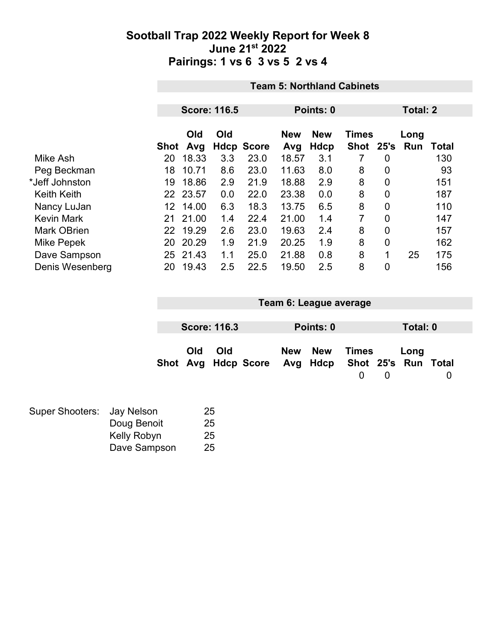|                    |      | <b>Team 5: Northland Cabinets</b> |                     |                   |            |             |                |                |                 |       |  |
|--------------------|------|-----------------------------------|---------------------|-------------------|------------|-------------|----------------|----------------|-----------------|-------|--|
|                    |      |                                   | <b>Score: 116.5</b> |                   |            | Points: 0   |                |                | <b>Total: 2</b> |       |  |
|                    |      | Old<br>Old                        |                     |                   | <b>New</b> | <b>New</b>  | <b>Times</b>   |                | Long            |       |  |
|                    | Shot | Avg                               |                     | <b>Hdcp Score</b> | Avg        | <b>Hdcp</b> | Shot           | 25's           | Run             | Total |  |
| Mike Ash           | 20   | 18.33                             | 3.3                 | 23.0              | 18.57      | 3.1         | 7              | 0              |                 | 130   |  |
| Peg Beckman        | 18   | 10.71                             | 8.6                 | 23.0              | 11.63      | 8.0         | 8              | 0              |                 | 93    |  |
| *Jeff Johnston     | 19   | 18.86                             | 2.9                 | 21.9              | 18.88      | 2.9         | 8              | $\mathbf 0$    |                 | 151   |  |
| <b>Keith Keith</b> |      | 22 23.57                          | 0.0                 | 22.0              | 23.38      | 0.0         | 8              | $\mathbf 0$    |                 | 187   |  |
| Nancy LuJan        | 12   | 14.00                             | 6.3                 | 18.3              | 13.75      | 6.5         | 8              | $\overline{0}$ |                 | 110   |  |
| <b>Kevin Mark</b>  | 21   | 21.00                             | 1.4                 | 22.4              | 21.00      | 1.4         | $\overline{7}$ | $\mathbf 0$    |                 | 147   |  |
| <b>Mark OBrien</b> |      | 22 19.29                          | 2.6                 | 23.0              | 19.63      | 2.4         | 8              | $\mathbf 0$    |                 | 157   |  |
| <b>Mike Pepek</b>  | 20   | 20.29                             | 1.9                 | 21.9              | 20.25      | 1.9         | 8              | 0              |                 | 162   |  |
| Dave Sampson       | 25   | 21.43                             | 1.1                 | 25.0              | 21.88      | 0.8         | 8              | 1              | 25              | 175   |  |
| Denis Wesenberg    | 20   | 19.43                             | 2.5                 | 22.5              | 19.50      | 2.5         | 8              | 0              |                 | 156   |  |

| Team 6: League average |     |     |                                                  |            |            |            |                |      |   |
|------------------------|-----|-----|--------------------------------------------------|------------|------------|------------|----------------|------|---|
|                        |     |     |                                                  |            |            |            |                |      |   |
| <b>Score: 116.3</b>    |     |     |                                                  | Points: 0  |            |            | Total: 0       |      |   |
|                        | Old | Old | Shot Avg Hdcp Score Avg Hdcp Shot 25's Run Total | <b>New</b> | <b>New</b> | Times<br>0 | $\overline{0}$ | Long | 0 |

| Super Shooters: Jay Nelson |              | 25 |
|----------------------------|--------------|----|
|                            | Doug Benoit  | 25 |
|                            | Kelly Robyn  | 25 |
|                            | Dave Sampson | 25 |
|                            |              |    |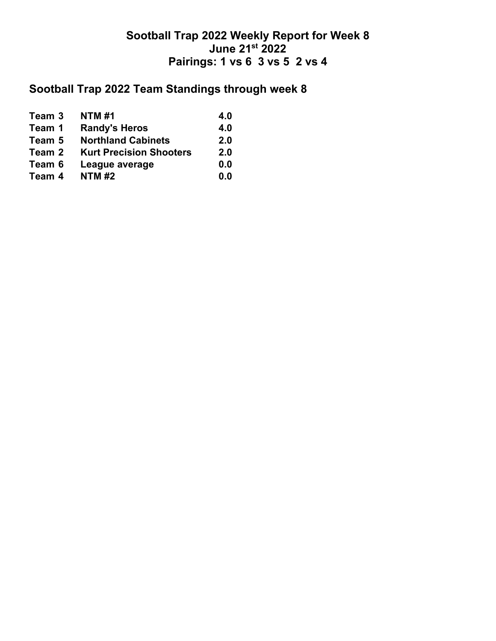## **Sootball Trap 2022 Team Standings through week 8**

| Team 3 | <b>NTM#1</b>                   | 4.0 |
|--------|--------------------------------|-----|
| Team 1 | <b>Randy's Heros</b>           | 4.0 |
| Team 5 | <b>Northland Cabinets</b>      | 2.0 |
| Team 2 | <b>Kurt Precision Shooters</b> | 2.0 |
| Team 6 | League average                 | 0.0 |
| Team 4 | <b>NTM#2</b>                   | 0.0 |
|        |                                |     |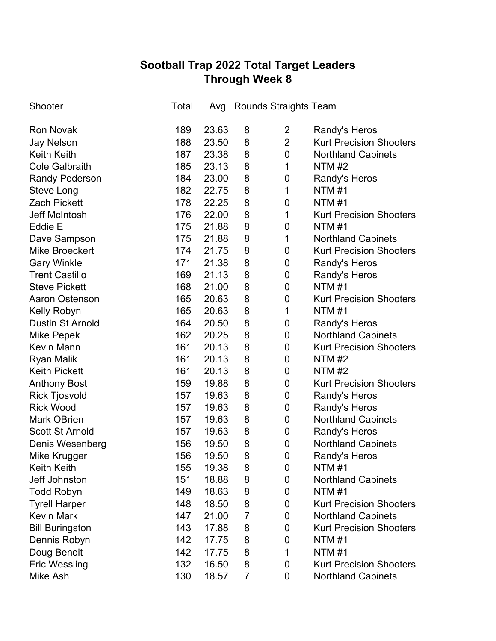# **Sootball Trap 2022 Total Target Leaders Through Week 8**

| Shooter                 | Total | Avg   |   | <b>Rounds Straights Team</b> |                                |
|-------------------------|-------|-------|---|------------------------------|--------------------------------|
| <b>Ron Novak</b>        | 189   | 23.63 | 8 | 2                            | Randy's Heros                  |
| <b>Jay Nelson</b>       | 188   | 23.50 | 8 | $\overline{2}$               | <b>Kurt Precision Shooters</b> |
| <b>Keith Keith</b>      | 187   | 23.38 | 8 | $\mathbf 0$                  | <b>Northland Cabinets</b>      |
| <b>Cole Galbraith</b>   | 185   | 23.13 | 8 | 1                            | <b>NTM #2</b>                  |
| <b>Randy Pederson</b>   | 184   | 23.00 | 8 | 0                            | Randy's Heros                  |
| Steve Long              | 182   | 22.75 | 8 | 1                            | <b>NTM#1</b>                   |
| <b>Zach Pickett</b>     | 178   | 22.25 | 8 | 0                            | <b>NTM#1</b>                   |
| Jeff McIntosh           | 176   | 22.00 | 8 | 1                            | <b>Kurt Precision Shooters</b> |
| Eddie E                 | 175   | 21.88 | 8 | 0                            | <b>NTM#1</b>                   |
| Dave Sampson            | 175   | 21.88 | 8 | 1                            | <b>Northland Cabinets</b>      |
| <b>Mike Broeckert</b>   | 174   | 21.75 | 8 | 0                            | <b>Kurt Precision Shooters</b> |
| <b>Gary Winkle</b>      | 171   | 21.38 | 8 | 0                            | Randy's Heros                  |
| <b>Trent Castillo</b>   | 169   | 21.13 | 8 | 0                            | Randy's Heros                  |
| <b>Steve Pickett</b>    | 168   | 21.00 | 8 | 0                            | <b>NTM#1</b>                   |
| <b>Aaron Ostenson</b>   | 165   | 20.63 | 8 | 0                            | <b>Kurt Precision Shooters</b> |
| Kelly Robyn             | 165   | 20.63 | 8 | 1                            | <b>NTM#1</b>                   |
| <b>Dustin St Arnold</b> | 164   | 20.50 | 8 | 0                            | Randy's Heros                  |
| <b>Mike Pepek</b>       | 162   | 20.25 | 8 | 0                            | <b>Northland Cabinets</b>      |
| <b>Kevin Mann</b>       | 161   | 20.13 | 8 | 0                            | <b>Kurt Precision Shooters</b> |
| <b>Ryan Malik</b>       | 161   | 20.13 | 8 | 0                            | <b>NTM #2</b>                  |
| <b>Keith Pickett</b>    | 161   | 20.13 | 8 | $\pmb{0}$                    | <b>NTM#2</b>                   |
| <b>Anthony Bost</b>     | 159   | 19.88 | 8 | 0                            | <b>Kurt Precision Shooters</b> |
| <b>Rick Tjosvold</b>    | 157   | 19.63 | 8 | $\pmb{0}$                    | Randy's Heros                  |
| <b>Rick Wood</b>        | 157   | 19.63 | 8 | $\pmb{0}$                    | Randy's Heros                  |
| <b>Mark OBrien</b>      | 157   | 19.63 | 8 | $\pmb{0}$                    | <b>Northland Cabinets</b>      |
| <b>Scott St Arnold</b>  | 157   | 19.63 | 8 | $\pmb{0}$                    | Randy's Heros                  |
| Denis Wesenberg         | 156   | 19.50 | 8 | $\mathbf 0$                  | <b>Northland Cabinets</b>      |
| Mike Krugger            | 156   | 19.50 | 8 | 0                            | Randy's Heros                  |
| <b>Keith Keith</b>      | 155   | 19.38 | 8 | 0                            | <b>NTM#1</b>                   |
| Jeff Johnston           | 151   | 18.88 | 8 | 0                            | <b>Northland Cabinets</b>      |
| <b>Todd Robyn</b>       | 149   | 18.63 | 8 | 0                            | <b>NTM #1</b>                  |
| <b>Tyrell Harper</b>    | 148   | 18.50 | 8 | 0                            | <b>Kurt Precision Shooters</b> |
| <b>Kevin Mark</b>       | 147   | 21.00 | 7 | 0                            | <b>Northland Cabinets</b>      |
| <b>Bill Buringston</b>  | 143   | 17.88 | 8 | 0                            | <b>Kurt Precision Shooters</b> |
| Dennis Robyn            | 142   | 17.75 | 8 | 0                            | <b>NTM #1</b>                  |
| Doug Benoit             | 142   | 17.75 | 8 | 1                            | <b>NTM#1</b>                   |
| <b>Eric Wessling</b>    | 132   | 16.50 | 8 | 0                            | <b>Kurt Precision Shooters</b> |
| Mike Ash                | 130   | 18.57 | 7 | 0                            | <b>Northland Cabinets</b>      |